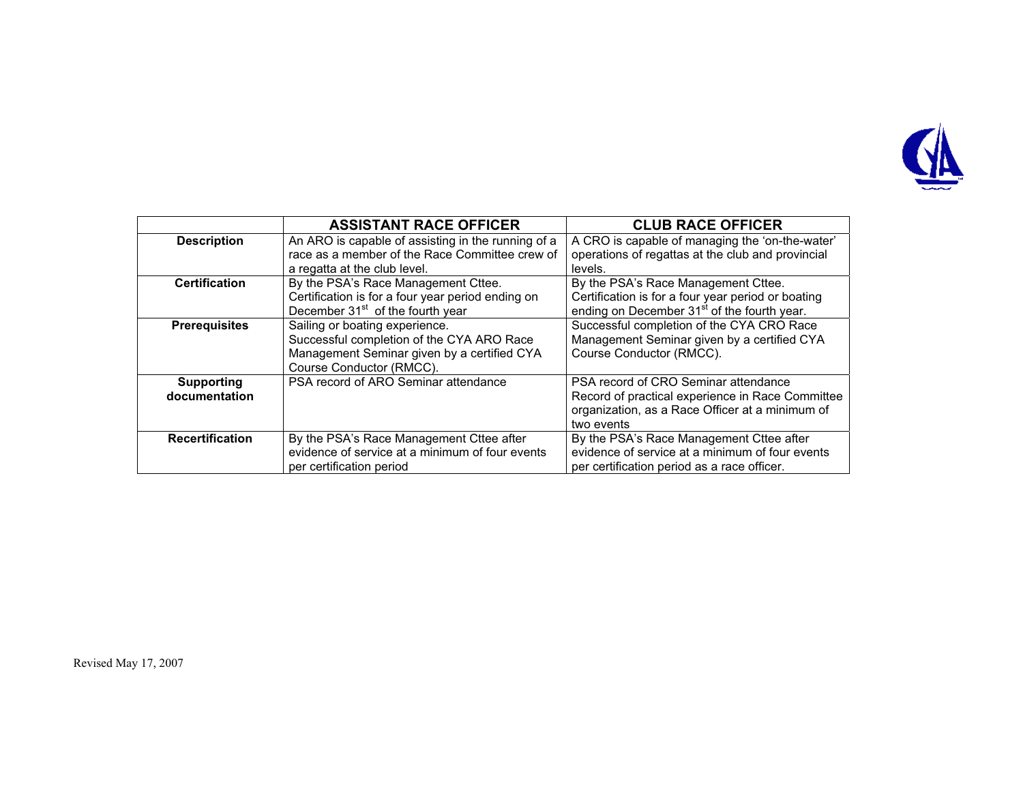

|                        | <b>ASSISTANT RACE OFFICER</b>                                                                        | <b>CLUB RACE OFFICER</b>                                                                             |
|------------------------|------------------------------------------------------------------------------------------------------|------------------------------------------------------------------------------------------------------|
| <b>Description</b>     | An ARO is capable of assisting in the running of a<br>race as a member of the Race Committee crew of | A CRO is capable of managing the 'on-the-water'<br>operations of regattas at the club and provincial |
|                        | a regatta at the club level.                                                                         | levels.                                                                                              |
| <b>Certification</b>   | By the PSA's Race Management Cttee.                                                                  | By the PSA's Race Management Cttee.                                                                  |
|                        | Certification is for a four year period ending on                                                    | Certification is for a four year period or boating                                                   |
|                        | December 31 <sup>st</sup> of the fourth year                                                         | ending on December 31 <sup>st</sup> of the fourth year.                                              |
| <b>Prerequisites</b>   | Sailing or boating experience.                                                                       | Successful completion of the CYA CRO Race                                                            |
|                        | Successful completion of the CYA ARO Race                                                            | Management Seminar given by a certified CYA                                                          |
|                        | Management Seminar given by a certified CYA                                                          | Course Conductor (RMCC).                                                                             |
|                        | Course Conductor (RMCC).                                                                             |                                                                                                      |
| <b>Supporting</b>      | PSA record of ARO Seminar attendance                                                                 | PSA record of CRO Seminar attendance                                                                 |
| documentation          |                                                                                                      | Record of practical experience in Race Committee                                                     |
|                        |                                                                                                      | organization, as a Race Officer at a minimum of                                                      |
|                        |                                                                                                      | two events                                                                                           |
| <b>Recertification</b> | By the PSA's Race Management Cttee after                                                             | By the PSA's Race Management Cttee after                                                             |
|                        | evidence of service at a minimum of four events                                                      | evidence of service at a minimum of four events                                                      |
|                        | per certification period                                                                             | per certification period as a race officer.                                                          |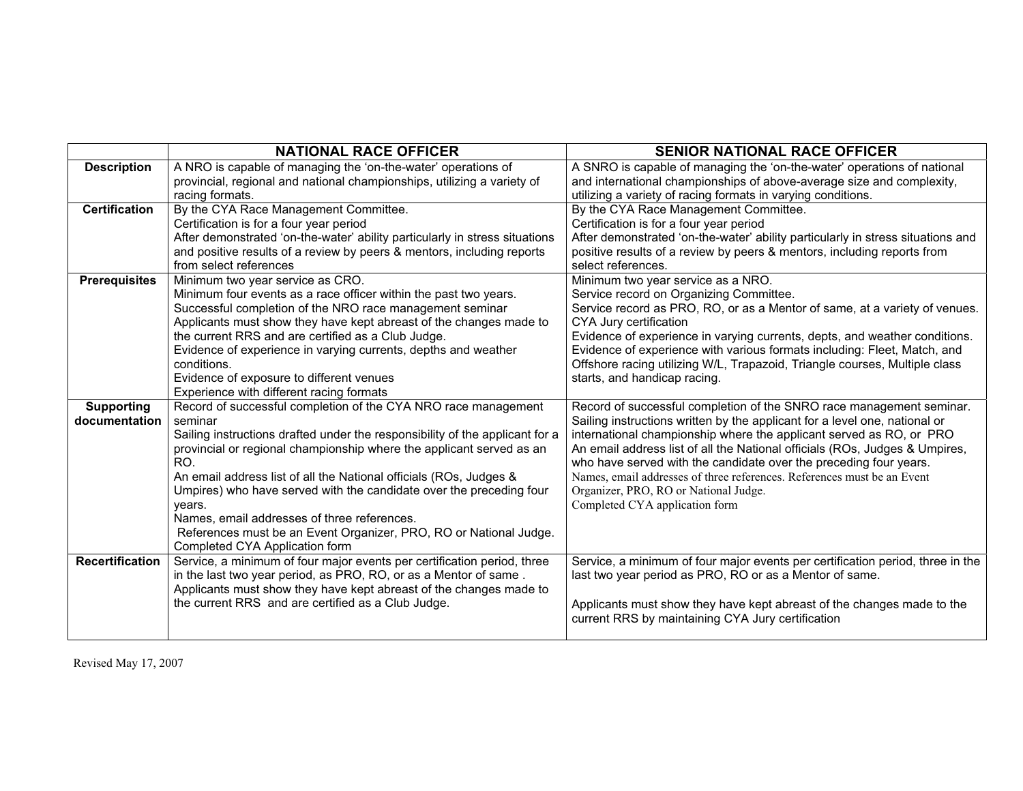|                        | <b>NATIONAL RACE OFFICER</b>                                                                        | <b>SENIOR NATIONAL RACE OFFICER</b>                                             |
|------------------------|-----------------------------------------------------------------------------------------------------|---------------------------------------------------------------------------------|
| <b>Description</b>     | A NRO is capable of managing the 'on-the-water' operations of                                       | A SNRO is capable of managing the 'on-the-water' operations of national         |
|                        | provincial, regional and national championships, utilizing a variety of                             | and international championships of above-average size and complexity,           |
|                        | racing formats.                                                                                     | utilizing a variety of racing formats in varying conditions.                    |
| Certification          | By the CYA Race Management Committee.                                                               | By the CYA Race Management Committee.                                           |
|                        | Certification is for a four year period                                                             | Certification is for a four year period                                         |
|                        | After demonstrated 'on-the-water' ability particularly in stress situations                         | After demonstrated 'on-the-water' ability particularly in stress situations and |
|                        | and positive results of a review by peers & mentors, including reports                              | positive results of a review by peers & mentors, including reports from         |
|                        | from select references                                                                              | select references.                                                              |
| <b>Prerequisites</b>   | Minimum two year service as CRO.                                                                    | Minimum two year service as a NRO.                                              |
|                        | Minimum four events as a race officer within the past two years.                                    | Service record on Organizing Committee.                                         |
|                        | Successful completion of the NRO race management seminar                                            | Service record as PRO, RO, or as a Mentor of same, at a variety of venues.      |
|                        | Applicants must show they have kept abreast of the changes made to                                  | CYA Jury certification                                                          |
|                        | the current RRS and are certified as a Club Judge.                                                  | Evidence of experience in varying currents, depts, and weather conditions.      |
|                        | Evidence of experience in varying currents, depths and weather                                      | Evidence of experience with various formats including: Fleet, Match, and        |
|                        | conditions.                                                                                         | Offshore racing utilizing W/L, Trapazoid, Triangle courses, Multiple class      |
|                        | Evidence of exposure to different venues                                                            | starts, and handicap racing.                                                    |
|                        | Experience with different racing formats                                                            |                                                                                 |
| <b>Supporting</b>      | Record of successful completion of the CYA NRO race management                                      | Record of successful completion of the SNRO race management seminar.            |
| documentation          | seminar                                                                                             | Sailing instructions written by the applicant for a level one, national or      |
|                        | Sailing instructions drafted under the responsibility of the applicant for a                        | international championship where the applicant served as RO, or PRO             |
|                        | provincial or regional championship where the applicant served as an                                | An email address list of all the National officials (ROs, Judges & Umpires,     |
|                        | RO.                                                                                                 | who have served with the candidate over the preceding four years.               |
|                        | An email address list of all the National officials (ROs, Judges &                                  | Names, email addresses of three references. References must be an Event         |
|                        | Umpires) who have served with the candidate over the preceding four                                 | Organizer, PRO, RO or National Judge.                                           |
|                        | vears.<br>Names, email addresses of three references.                                               | Completed CYA application form                                                  |
|                        |                                                                                                     |                                                                                 |
|                        | References must be an Event Organizer, PRO, RO or National Judge.<br>Completed CYA Application form |                                                                                 |
| <b>Recertification</b> | Service, a minimum of four major events per certification period, three                             | Service, a minimum of four major events per certification period, three in the  |
|                        | in the last two year period, as PRO, RO, or as a Mentor of same.                                    | last two year period as PRO, RO or as a Mentor of same.                         |
|                        | Applicants must show they have kept abreast of the changes made to                                  |                                                                                 |
|                        | the current RRS and are certified as a Club Judge.                                                  | Applicants must show they have kept abreast of the changes made to the          |
|                        |                                                                                                     | current RRS by maintaining CYA Jury certification                               |
|                        |                                                                                                     |                                                                                 |
|                        |                                                                                                     |                                                                                 |

Revised May 17, 2007